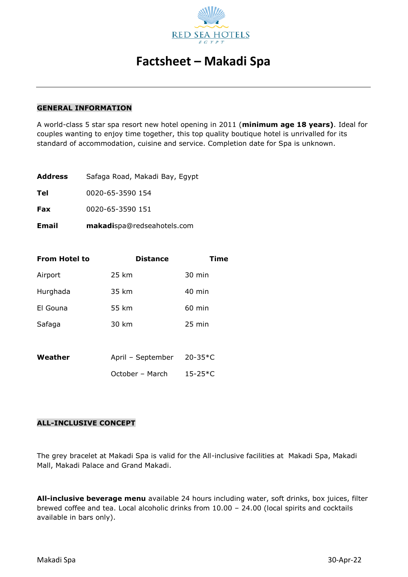

#### **GENERAL INFORMATION**

A world-class 5 star spa resort new hotel opening in 2011 (**minimum age 18 years)**. Ideal for couples wanting to enjoy time together, this top quality boutique hotel is unrivalled for its standard of accommodation, cuisine and service. Completion date for Spa is unknown.

| <b>Email</b>   | makadispa@redseahotels.com     |  |
|----------------|--------------------------------|--|
| Fax            | 0020-65-3590 151               |  |
| Tel            | 0020-65-3590 154               |  |
| <b>Address</b> | Safaga Road, Makadi Bay, Egypt |  |

| <b>From Hotel to</b> | <b>Distance</b>   | Time             |
|----------------------|-------------------|------------------|
| Airport              | 25 km             | 30 min           |
| Hurghada             | 35 km             | $40 \text{ min}$ |
| El Gouna             | 55 km             | $60$ min         |
| Safaga               | 30 km             | $25 \text{ min}$ |
|                      |                   |                  |
| Weather              | April - September | $20 - 35*C$      |
|                      | October – March   | $15 - 25*C$      |

#### **ALL-INCLUSIVE CONCEPT**

The grey bracelet at Makadi Spa is valid for the All-inclusive facilities at Makadi Spa, Makadi Mall, Makadi Palace and Grand Makadi.

**All-inclusive beverage menu** available 24 hours including water, soft drinks, box juices, filter brewed coffee and tea. Local alcoholic drinks from 10.00 – 24.00 (local spirits and cocktails available in bars only).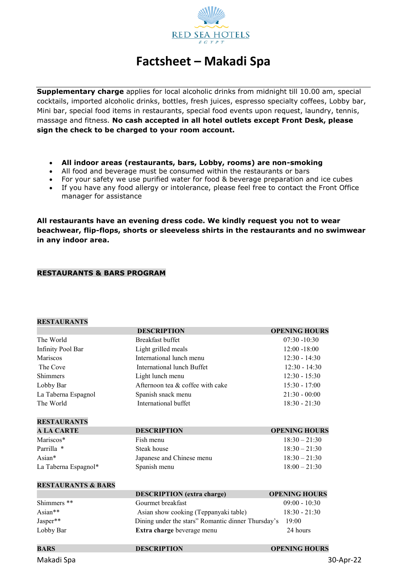

**Supplementary charge** applies for local alcoholic drinks from midnight till 10.00 am, special cocktails, imported alcoholic drinks, bottles, fresh juices, espresso specialty coffees, Lobby bar, Mini bar, special food items in restaurants, special food events upon request, laundry, tennis, massage and fitness. **No cash accepted in all hotel outlets except Front Desk, please sign the check to be charged to your room account.**

- **All indoor areas (restaurants, bars, Lobby, rooms) are non-smoking**
- All food and beverage must be consumed within the restaurants or bars
- For your safety we use purified water for food & beverage preparation and ice cubes
- If you have any food allergy or intolerance, please feel free to contact the Front Office manager for assistance

**All restaurants have an evening dress code. We kindly request you not to wear beachwear, flip-flops, shorts or sleeveless shirts in the restaurants and no swimwear in any indoor area.**

#### **RESTAURANTS & BARS PROGRAM**

### **RESTAURANTS**

| INED LAU INAI LU              |                                                    |                      |
|-------------------------------|----------------------------------------------------|----------------------|
|                               | <b>DESCRIPTION</b>                                 | <b>OPENING HOURS</b> |
| The World                     | <b>Breakfast buffet</b>                            | $07:30 - 10:30$      |
| <b>Infinity Pool Bar</b>      | Light grilled meals                                | $12:00 - 18:00$      |
| Mariscos                      | International lunch menu                           | $12:30 - 14:30$      |
| The Cove                      | International lunch Buffet                         | $12:30 - 14:30$      |
| <b>Shimmers</b>               | Light lunch menu                                   | $12:30 - 15:30$      |
| Lobby Bar                     | Afternoon tea & coffee with cake                   | $15:30 - 17:00$      |
| La Taberna Espagnol           | Spanish snack menu                                 | $21:30 - 00:00$      |
| The World                     | International buffet                               | $18:30 - 21:30$      |
| <b>RESTAURANTS</b>            |                                                    |                      |
| <b>A LA CARTE</b>             | <b>DESCRIPTION</b>                                 | <b>OPENING HOURS</b> |
| Mariscos*                     | Fish menu                                          | $18:30 - 21:30$      |
| Parrilla *                    | Steak house                                        | $18:30 - 21:30$      |
| Asian*                        | Japanese and Chinese menu                          | $18:30 - 21:30$      |
| La Taberna Espagnol*          | Spanish menu                                       | $18:00 - 21:30$      |
| <b>RESTAURANTS &amp; BARS</b> |                                                    |                      |
|                               | <b>DESCRIPTION</b> (extra charge)                  | <b>OPENING HOURS</b> |
| Shimmers <sup>**</sup>        | Gourmet breakfast                                  | $09:00 - 10:30$      |
| Asian**                       | Asian show cooking (Teppanyaki table)              | $18:30 - 21:30$      |
| Jasper**                      | Dining under the stars" Romantic dinner Thursday's | 19:00                |
| Lobby Bar                     | Extra charge beverage menu                         | 24 hours             |
| <b>BARS</b>                   | <b>DESCRIPTION</b>                                 | <b>OPENING HOURS</b> |

Makadi Spa 30-Apr-22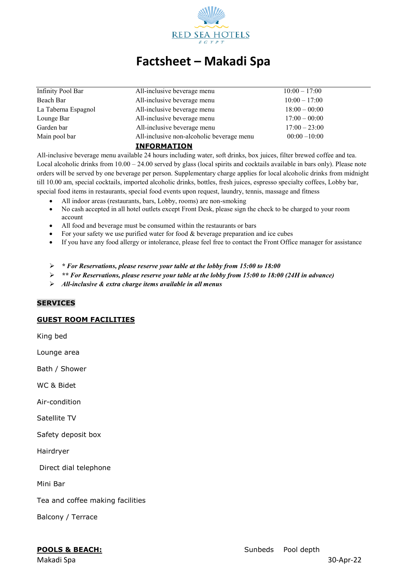

| Infinity Pool Bar   | All-inclusive beverage menu               | $10:00 - 17:00$ |  |
|---------------------|-------------------------------------------|-----------------|--|
| Beach Bar           | All-inclusive beverage menu               | $10:00 - 17:00$ |  |
| La Taberna Espagnol | All-inclusive beverage menu               | $18:00 - 00:00$ |  |
| Lounge Bar          | All-inclusive beverage menu               | $17:00 - 00:00$ |  |
| Garden bar          | All-inclusive beverage menu               | $17:00 - 23:00$ |  |
| Main pool bar       | All-inclusive non-alcoholic beverage menu | $00:00 - 10:00$ |  |
|                     | <b>INFORMATION</b>                        |                 |  |

All-inclusive beverage menu available 24 hours including water, soft drinks, box juices, filter brewed coffee and tea. Local alcoholic drinks from  $10.00 - 24.00$  served by glass (local spirits and cocktails available in bars only). Please note orders will be served by one beverage per person. Supplementary charge applies for local alcoholic drinks from midnight till 10.00 am, special cocktails, imported alcoholic drinks, bottles, fresh juices, espresso specialty coffees, Lobby bar, special food items in restaurants, special food events upon request, laundry, tennis, massage and fitness

- All indoor areas (restaurants, bars, Lobby, rooms) are non-smoking
- No cash accepted in all hotel outlets except Front Desk, please sign the check to be charged to your room account
- All food and beverage must be consumed within the restaurants or bars
- For your safety we use purified water for food & beverage preparation and ice cubes
- If you have any food allergy or intolerance, please feel free to contact the Front Office manager for assistance
- *\* For Reservations, please reserve your table at the lobby from 15:00 to 18:00*
- *\*\* For Reservations, please reserve your table at the lobby from 15:00 to 18:00 (24H in advance)*
- *All-inclusive & extra charge items available in all menus*

#### **SERVICES**

#### **GUEST ROOM FACILITIES**

King bed

Lounge area

Bath / Shower

WC & Bidet

Air-condition

Satellite TV

Safety deposit box

Hairdryer

Direct dial telephone

Mini Bar

Tea and coffee making facilities

Balcony / Terrace

Makadi Spa 30-Apr-22